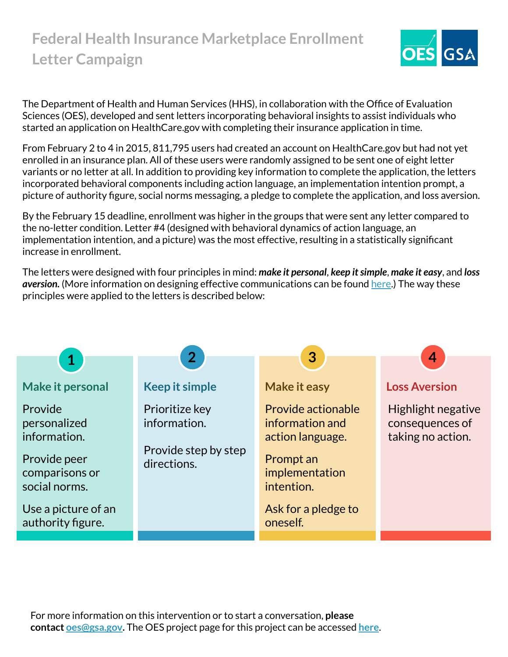### **Federal Health Insurance Marketplace Enrollment Letter Campaign**



The Department of Health and Human Services (HHS), in collaboration with the Office of Evaluation Sciences (OES), developed and sent letters incorporating behavioral insights to assist individuals who started an application on HealthCare.gov with completing their insurance application in time.

From February 2 to 4 in 2015, 811,795 users had created an account on HealthCare.gov but had not yet enrolled in an insurance plan. All of these users were randomly assigned to be sent one of eight letter variants or no letter at all. In addition to providing key information to complete the application, the letters incorporated behavioral components including action language, an implementation intention prompt, a picture of authority figure, social norms messaging, a pledge to complete the application, and loss aversion.

By the February 15 deadline, enrollment was higher in the groups that were sent any letter compared to the no-letter condition. Letter #4 (designed with behavioral dynamics of action language, an implementation intention, and a picture) was the most effective, resulting in a statistically significant increase in enrollment.

The letters were designed with four principles in mind: *make it personal*, *keep it simple*, *make it easy*, and *loss aversion.* (More information on designing effective communications can be found [here.](https://oes.gsa.gov/assets/abstracts/OES%20Learnings%20on%20Writing%20Better%20Communications%202018.pdf)) The way these principles were applied to the letters is described below:

|                                                                                            |                                                                       | 3                                                                                                      | $\boldsymbol{4}$                                           |  |  |
|--------------------------------------------------------------------------------------------|-----------------------------------------------------------------------|--------------------------------------------------------------------------------------------------------|------------------------------------------------------------|--|--|
| $\mathbf 1$                                                                                | 2 <sup>1</sup>                                                        |                                                                                                        |                                                            |  |  |
| <b>Make it personal</b>                                                                    | <b>Keep it simple</b>                                                 | <b>Make it easy</b>                                                                                    | <b>Loss Aversion</b>                                       |  |  |
| Provide<br>personalized<br>information.<br>Provide peer<br>comparisons or<br>social norms. | Prioritize key<br>information.<br>Provide step by step<br>directions. | Provide actionable<br>information and<br>action language.<br>Prompt an<br>implementation<br>intention. | Highlight negative<br>consequences of<br>taking no action. |  |  |
| Use a picture of an<br>authority figure.                                                   |                                                                       | Ask for a pledge to<br>oneself.                                                                        |                                                            |  |  |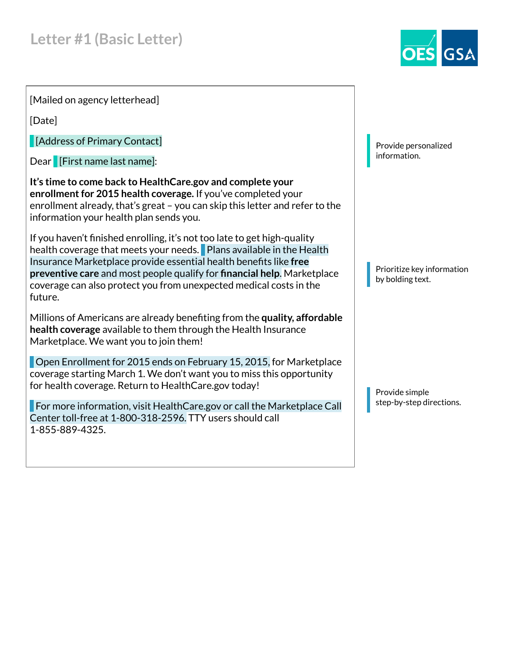

[Mailed on agency letterhead]

[Date]

[Address of Primary Contact]

Dear **[First name last name]:** 

**It's time to come back to HealthCare.gov and complete your enrollment for 2015 health coverage.** If you've completed your enrollment already, that's great – you can skip this letter and refer to the information your health plan sends you.

If you haven't finished enrolling, it's not too late to get high-quality health coverage that meets your needs. Plans available in the Health Insurance Marketplace provide essential health benefits like **free preventive care** and most people qualify for **financial help**. Marketplace coverage can also protect you from unexpected medical costs in the future.

Millions of Americans are already benefiting from the **quality, affordable health coverage** available to them through the Health Insurance Marketplace. We want you to join them!

 Open Enrollment for 2015 ends on February 15, 2015, for Marketplace coverage starting March 1. We don't want you to miss this opportunity for health coverage. Return to HealthCare.gov today!

 For more information, visit HealthCare.gov or call the Marketplace Call Center toll-free at 1-800-318-2596. TTY users should call 1-855-889-4325.

Provide personalized information.

Prioritize key information by bolding text.

Provide simple step-by-step directions.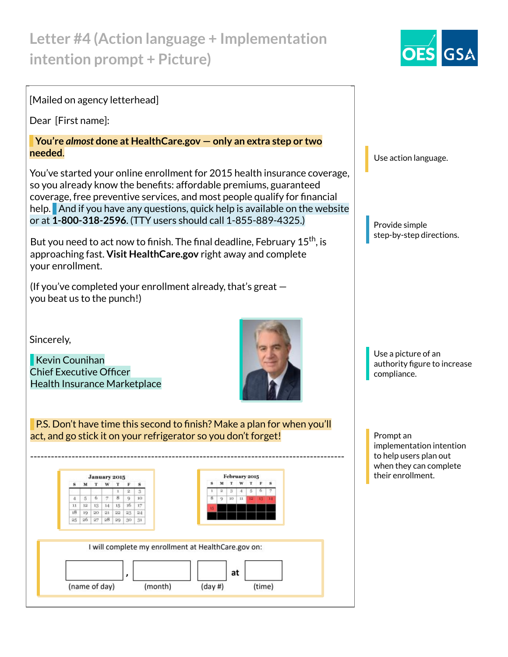# **Letter #4 (Action language + Implementation intention prompt + Picture)**



#### [Mailed on agency letterhead]

Dear [First name]:

#### **You're** *almost* **done at HealthCare.gov — only an extra step or two needed**.

You've started your online enrollment for 2015 health insurance coverage, so you already know the benefits: affordable premiums, guaranteed coverage, free preventive services, and most people qualify for financial help. And if you have any questions, quick help is available on the website or at **1-800-318-2596**. (TTY users should call 1-855-889-4325.)

But you need to act now to finish. The final deadline, February  $15^{\mathsf{th}}$ , is approaching fast. **Visit HealthCare.gov** right away and complete your enrollment.

(If you've completed your enrollment already, that's great  $$ you beat us to the punch!)

Sincerely,

 Kevin Counihan Chief Executive Officer Health Insurance Marketplace



 P.S. Don't have time this second to finish? Make a plan for when you'll act, and go stick it on your refrigerator so you don't forget!



Use action language.

Provide simple step-by-step directions.

Use a picture of an authority figure to increase compliance.

Prompt an implementation intention to help users plan out when they can complete their enrollment.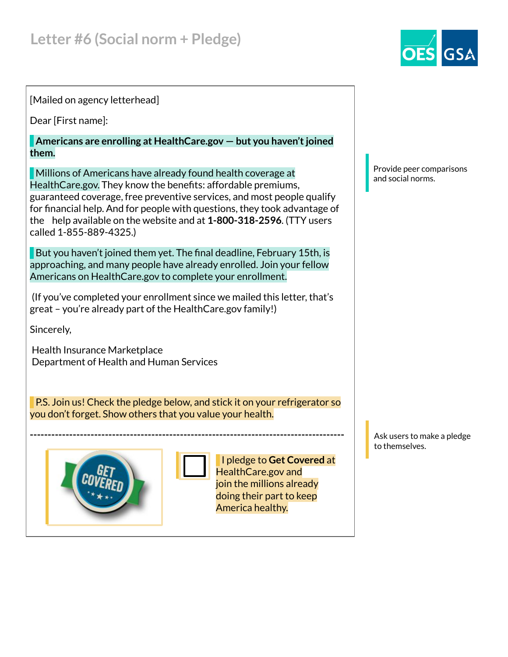### [Mailed on agency letterhead]

Dear [First name]:

 **Americans are enrolling at HealthCare.gov — but you haven't joined them.**

 Millions of Americans have already found health coverage at HealthCare.gov. They know the benefits: affordable premiums, guaranteed coverage, free preventive services, and most people qualify for financial help. And for people with questions, they took advantage of the help available on the website and at **1-800-318-2596**. (TTY users called 1-855-889-4325.)

But you haven't joined them yet. The final deadline, February 15th, is approaching, and many people have already enrolled. Join your fellow Americans on HealthCare.gov to complete your enrollment.

 (If you've completed your enrollment since we mailed this letter, that's great – you're already part of the HealthCare.gov family!)

Sincerely,

 Health Insurance Marketplace Department of Health and Human Services

 P.S. Join us! Check the pledge below, and stick it on your refrigerator so you don't forget. Show others that you value your health.

**----------------------------------------------------------------------------------------**





 I pledge to **Get Covered** at HealthCare.gov and join the millions already doing their part to keep America healthy.

Provide peer comparisons and social norms.

Ask users to make a pledge to themselves.

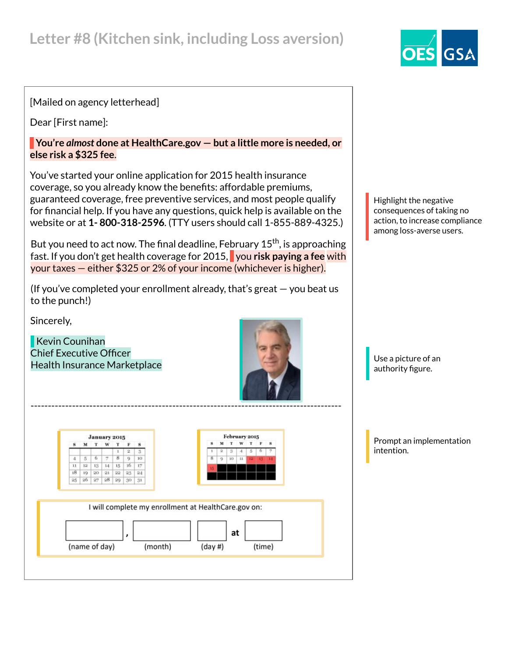# **Letter #8 (Kitchen sink, including Loss aversion)**

### [Mailed on agency letterhead]

Dear [First name]:

 **You're** *almost* **done at HealthCare.gov — but a little more is needed, or else risk a \$325 fee**.

You've started your online application for 2015 health insurance coverage, so you already know the benefits: affordable premiums, guaranteed coverage, free preventive services, and most people qualify for financial help. If you have any questions, quick help is available on the website or at **1- 800-318-2596**. (TTY users should call 1-855-889-4325.)

But you need to act now. The final deadline, February  $15<sup>th</sup>$ , is approaching fast. If you don't get health coverage for 2015, you **risk paying a fee** with your taxes — either \$325 or 2% of your income (whichever is higher).

(If you've completed your enrollment already, that's great — you beat us to the punch!)

Sincerely,

 Kevin Counihan Chief Executive Officer Health Insurance Marketplace



February 2015 January 2015  $M$   $T$ w  $T$ M T W T F  $\overline{2}$  $\mathbf{s}$  $\begin{array}{|c|c|c|c|c|}\n\hline\n5 & 6 & 7 \\
\hline\n\end{array}$  $8$  $4^{\circ}$ 9  $10<sub>1</sub>$  $11 \quad 12 \quad 13 \quad 14 \quad 15 \quad 16 \quad 17$  $\sqrt{18}$ 19 20 21 22 23  $24$  $26$   $27$   $28$   $29$  30 25 31 I will complete my enrollment at HealthCare.gov on: at (name of day) (month)  $(day#)$ (time) Highlight the negative consequences of taking no action, to increase compliance among loss-averse users.

Use a picture of an authority figure.

Prompt an implementation intention.